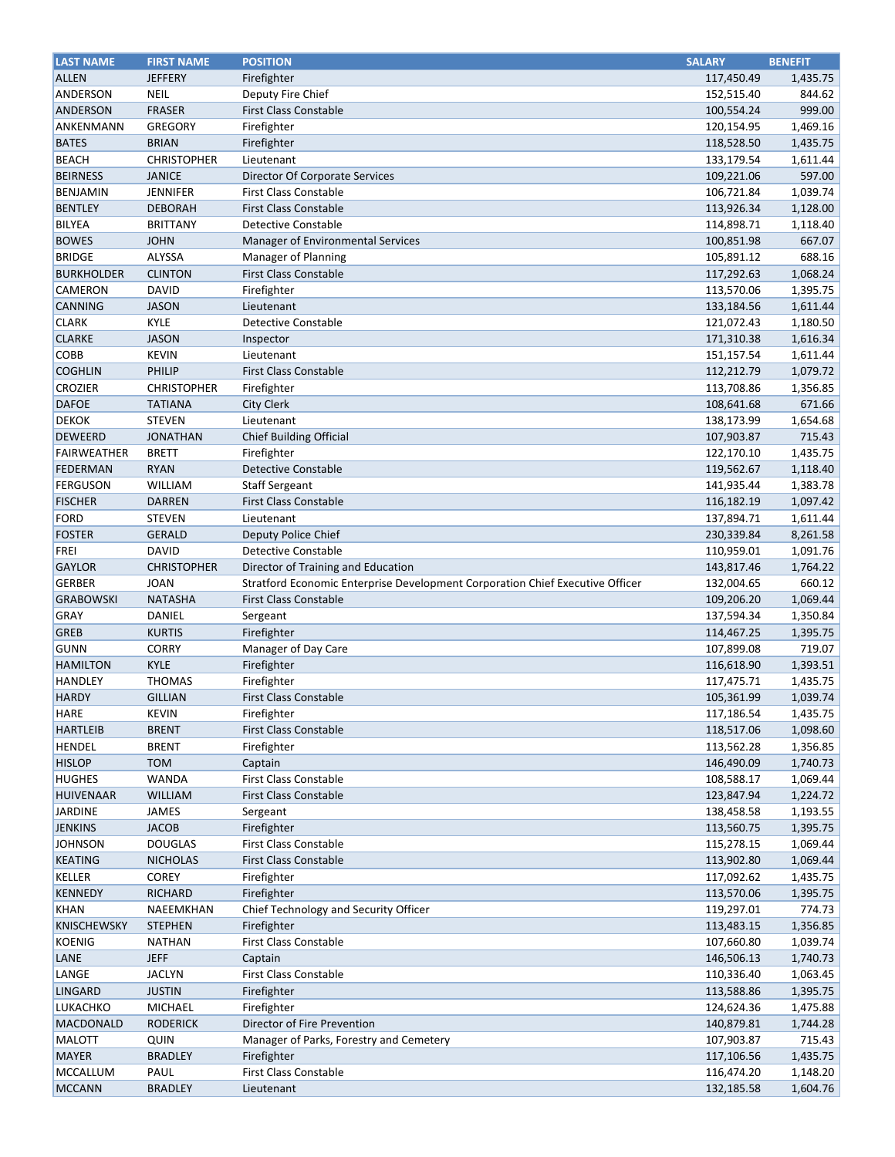| <b>LAST NAME</b>   | <b>FIRST NAME</b>  | <b>POSITION</b>                                                               | <b>SALARY</b> | <b>BENEFIT</b> |
|--------------------|--------------------|-------------------------------------------------------------------------------|---------------|----------------|
| <b>ALLEN</b>       | <b>JEFFERY</b>     | Firefighter                                                                   | 117,450.49    | 1,435.75       |
| ANDERSON           | <b>NEIL</b>        | Deputy Fire Chief                                                             | 152,515.40    | 844.62         |
| <b>ANDERSON</b>    | <b>FRASER</b>      | <b>First Class Constable</b>                                                  | 100,554.24    | 999.00         |
| ANKENMANN          | <b>GREGORY</b>     | Firefighter                                                                   | 120,154.95    | 1,469.16       |
| <b>BATES</b>       | <b>BRIAN</b>       | Firefighter                                                                   | 118,528.50    | 1,435.75       |
| <b>BEACH</b>       | <b>CHRISTOPHER</b> | Lieutenant                                                                    | 133,179.54    | 1,611.44       |
| <b>BEIRNESS</b>    | <b>JANICE</b>      | Director Of Corporate Services                                                | 109,221.06    | 597.00         |
| <b>BENJAMIN</b>    | <b>JENNIFER</b>    | <b>First Class Constable</b>                                                  | 106,721.84    | 1,039.74       |
| <b>BENTLEY</b>     | <b>DEBORAH</b>     | <b>First Class Constable</b>                                                  | 113,926.34    | 1,128.00       |
| <b>BILYEA</b>      | <b>BRITTANY</b>    | <b>Detective Constable</b>                                                    | 114,898.71    | 1,118.40       |
| <b>BOWES</b>       | <b>JOHN</b>        | Manager of Environmental Services                                             | 100,851.98    | 667.07         |
| <b>BRIDGE</b>      | <b>ALYSSA</b>      | Manager of Planning                                                           | 105,891.12    | 688.16         |
| <b>BURKHOLDER</b>  | <b>CLINTON</b>     | <b>First Class Constable</b>                                                  | 117,292.63    | 1,068.24       |
| CAMERON            | <b>DAVID</b>       | Firefighter                                                                   | 113,570.06    | 1,395.75       |
| <b>CANNING</b>     | <b>JASON</b>       | Lieutenant                                                                    | 133,184.56    | 1,611.44       |
| <b>CLARK</b>       | <b>KYLE</b>        | <b>Detective Constable</b>                                                    | 121,072.43    | 1,180.50       |
| <b>CLARKE</b>      | <b>JASON</b>       | Inspector                                                                     | 171,310.38    | 1,616.34       |
| <b>COBB</b>        | <b>KEVIN</b>       | Lieutenant                                                                    | 151,157.54    | 1,611.44       |
| <b>COGHLIN</b>     | PHILIP             | <b>First Class Constable</b>                                                  | 112,212.79    | 1,079.72       |
| CROZIER            | <b>CHRISTOPHER</b> | Firefighter                                                                   | 113,708.86    | 1,356.85       |
| <b>DAFOE</b>       | <b>TATIANA</b>     | <b>City Clerk</b>                                                             | 108,641.68    | 671.66         |
| <b>DEKOK</b>       | <b>STEVEN</b>      | Lieutenant                                                                    | 138,173.99    | 1,654.68       |
| <b>DEWEERD</b>     | <b>JONATHAN</b>    | <b>Chief Building Official</b>                                                | 107,903.87    | 715.43         |
| <b>FAIRWEATHER</b> | <b>BRETT</b>       | Firefighter                                                                   | 122,170.10    | 1,435.75       |
| <b>FEDERMAN</b>    | <b>RYAN</b>        | <b>Detective Constable</b>                                                    | 119,562.67    | 1,118.40       |
| <b>FERGUSON</b>    | <b>WILLIAM</b>     | <b>Staff Sergeant</b>                                                         | 141,935.44    | 1,383.78       |
| <b>FISCHER</b>     | <b>DARREN</b>      | <b>First Class Constable</b>                                                  | 116,182.19    | 1,097.42       |
| <b>FORD</b>        | <b>STEVEN</b>      | Lieutenant                                                                    | 137,894.71    | 1,611.44       |
| <b>FOSTER</b>      | <b>GERALD</b>      | Deputy Police Chief                                                           | 230,339.84    | 8,261.58       |
| <b>FREI</b>        | <b>DAVID</b>       | <b>Detective Constable</b>                                                    | 110,959.01    | 1,091.76       |
| <b>GAYLOR</b>      | <b>CHRISTOPHER</b> | Director of Training and Education                                            | 143,817.46    | 1,764.22       |
| <b>GERBER</b>      | <b>JOAN</b>        | Stratford Economic Enterprise Development Corporation Chief Executive Officer | 132,004.65    | 660.12         |
| <b>GRABOWSKI</b>   | <b>NATASHA</b>     | <b>First Class Constable</b>                                                  | 109,206.20    | 1,069.44       |
| <b>GRAY</b>        | DANIEL             | Sergeant                                                                      | 137,594.34    | 1,350.84       |
| <b>GREB</b>        | <b>KURTIS</b>      | Firefighter                                                                   | 114,467.25    | 1,395.75       |
| <b>GUNN</b>        | <b>CORRY</b>       | Manager of Day Care                                                           | 107,899.08    | 719.07         |
| <b>HAMILTON</b>    | <b>KYLE</b>        | Firefighter                                                                   | 116,618.90    | 1,393.51       |
| HANDLEY            | <b>THOMAS</b>      | Firefighter                                                                   | 117,475.71    | 1,435.75       |
| <b>HARDY</b>       | <b>GILLIAN</b>     | <b>First Class Constable</b>                                                  | 105,361.99    | 1,039.74       |
| <b>HARE</b>        | <b>KEVIN</b>       | Firefighter                                                                   | 117,186.54    | 1,435.75       |
| <b>HARTLEIB</b>    | <b>BRENT</b>       | <b>First Class Constable</b>                                                  | 118,517.06    | 1,098.60       |
| <b>HENDEL</b>      | <b>BRENT</b>       | Firefighter                                                                   | 113,562.28    | 1,356.85       |
| <b>HISLOP</b>      | <b>TOM</b>         | Captain                                                                       | 146,490.09    | 1,740.73       |
| <b>HUGHES</b>      | <b>WANDA</b>       | <b>First Class Constable</b>                                                  | 108,588.17    | 1,069.44       |
| <b>HUIVENAAR</b>   | <b>WILLIAM</b>     | <b>First Class Constable</b>                                                  | 123,847.94    | 1,224.72       |
| <b>JARDINE</b>     | JAMES              | Sergeant                                                                      | 138,458.58    | 1,193.55       |
| <b>JENKINS</b>     | <b>JACOB</b>       | Firefighter                                                                   | 113,560.75    | 1,395.75       |
| <b>JOHNSON</b>     | <b>DOUGLAS</b>     | First Class Constable                                                         | 115,278.15    | 1,069.44       |
| <b>KEATING</b>     | <b>NICHOLAS</b>    | <b>First Class Constable</b>                                                  | 113,902.80    | 1,069.44       |
| <b>KELLER</b>      | <b>COREY</b>       | Firefighter                                                                   | 117,092.62    | 1,435.75       |
| <b>KENNEDY</b>     | <b>RICHARD</b>     | Firefighter                                                                   | 113,570.06    | 1,395.75       |
| <b>KHAN</b>        | NAEEMKHAN          | Chief Technology and Security Officer                                         | 119,297.01    | 774.73         |
| <b>KNISCHEWSKY</b> | <b>STEPHEN</b>     | Firefighter                                                                   | 113,483.15    | 1,356.85       |
| <b>KOENIG</b>      | <b>NATHAN</b>      | <b>First Class Constable</b>                                                  | 107,660.80    | 1,039.74       |
| LANE               | <b>JEFF</b>        | Captain                                                                       | 146,506.13    | 1,740.73       |
| LANGE              | <b>JACLYN</b>      | <b>First Class Constable</b>                                                  | 110,336.40    | 1,063.45       |
| <b>LINGARD</b>     | <b>JUSTIN</b>      | Firefighter                                                                   | 113,588.86    | 1,395.75       |
| <b>LUKACHKO</b>    | MICHAEL            | Firefighter                                                                   | 124,624.36    | 1,475.88       |
| MACDONALD          | <b>RODERICK</b>    | Director of Fire Prevention                                                   | 140,879.81    | 1,744.28       |
| <b>MALOTT</b>      | QUIN               | Manager of Parks, Forestry and Cemetery                                       | 107,903.87    | 715.43         |
| <b>MAYER</b>       | <b>BRADLEY</b>     | Firefighter                                                                   | 117,106.56    | 1,435.75       |
| <b>MCCALLUM</b>    | PAUL               | <b>First Class Constable</b>                                                  | 116,474.20    | 1,148.20       |
| <b>MCCANN</b>      | <b>BRADLEY</b>     | Lieutenant                                                                    | 132,185.58    | 1,604.76       |